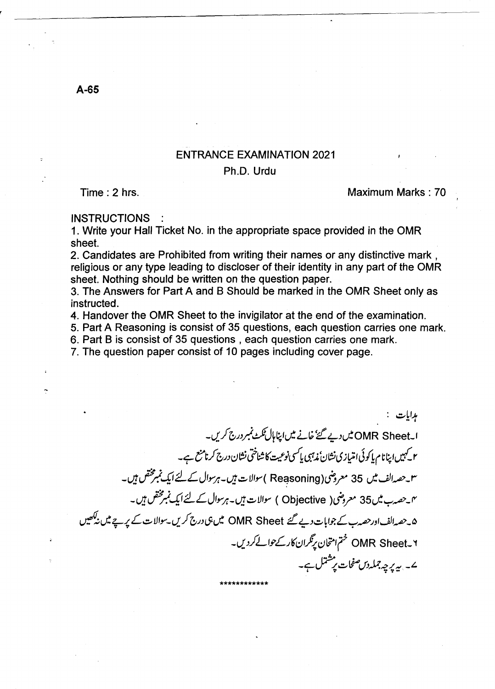## ENTRANCE EXAMINATION 2021

## Ph.D. Urdu

Time: 2 hrs. Maximum Marks: 70

**INSTRUCTIONS** 

1. Write your Hall Ticket No. in the appropriate space provided in the OMR sheet.

2. Candidates are Prohibited from writing their names or any distinctive mark, religious or any type leading to discloser of their identity in any part of the OMR sheet. Nothing should be written on the question paper.

3. The Answers for Part A and B Should be marked in the OMR Sheet only as instructed.

4. Handover the OMR Sheet to the invigilator at the end of the examination.

5. Part A Reasoning is consist of 35 questions, each question carries one mark.

6. Part B is consist of 35 questions, each question carries one mark.

7. The question paper consist of 10 pages including cover page.

بدامات : ابـOMR Sheet میں دیے گئے' خانے میں اپناہال ٹکٹ نمبر درج کریں۔ م کہیں اپنانام پاکوئی امتیازی نشان مٰذہبی پاکسی نوعیت کا شناختی نشان درج کرنامنع ہے۔ -~?/....fi2...LJIYfi-~..::.-LlIY( Re~soning)~r 35 *v!JJ(",v\_r'*  -~?/'...fi2...LJIYfi-~..::.-LlIY ( Objective )~r *35v!1o.;-',..oV\_fY*  ۵۔حصہ الف اور حصہ ب کے جوابات دیے گئے OMR Sheet میں ہی درج کریں۔سوالات کے پ<sub>ر</sub>پے میں نیکھیں \_v!J.fLI.YL)(dl~l:Jl?lr OMR Sheet\_ If ے۔ یہ برچہ چملہ *دن صفحات برشتمل ہے۔* 

\*\*\*\*\*\*\*\*\*\*\*\*

A-65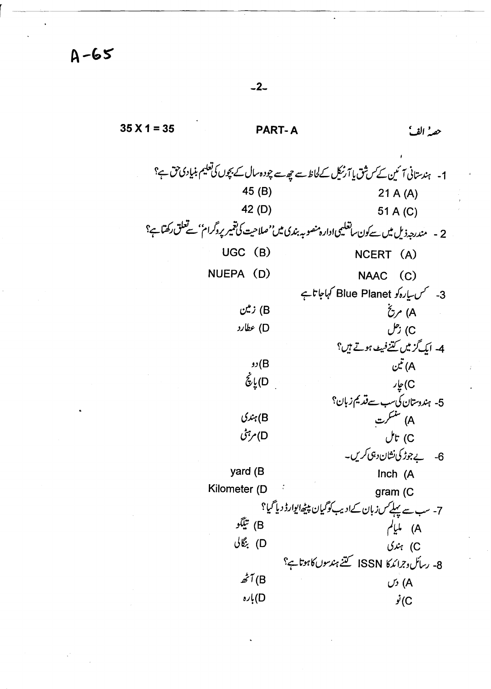$A-65$ 

-2-

~~---------------------------------------~~

 $35X1 = 35$  PART-A حصه الفُ 1- ہندستانی آئین کے س<sup>ش</sup>ق یا آرنیک کے لحاظ سے چھ سے چودہ سال کے بچوں کی تعلیم بنیادی حق ہے؟ 45 (B) 21 A (A) 42 (D) 51 A (C) 2 - مندرجہ ذیل میں سےکون ساتعلیمی ادارہ منصوبہ بندی میں''صلاحیت کی تقمیر پروگرام''سے تعلق رکھتاہے؟ UGC (B) NCERT (A) NUEPA (D) NAAC (C) 3- كس سياره كو Blue Planet كہاجا تاہے زبین (B  $\check{C}$  / (A ).IUzy (D *J;(C*  fvr LJ1~;!!(u!;/Ji *-4* ~ ~ نٽي $\tilde{\mu}$  (A  $v(B)$  $\dot{\hat{\mathcal{E}}}_{\mathsf{L}}(\mathsf{D})$ باغا. $\tilde{\mathbf{e}}$ 5- ہندوستان کی سب سے قد یم زبان؟ A) سنسکرت  $\mathcal{L}\mathcal{L}_i(B)$ D) مرہنی *Jt-* (C 6- يے جوڑ کی نشان دہی کریں۔<br>Inch (A yard (B Kilometer (D  $q$  gram (C) 7- سب سے پہلے س زبان کے ادیب کو گیان پیچھ ایوارڈ دیا گیا؟ A) مایام<br>(B + مایام (B) تیگو<br>(C) جندی  $Jx$  (C 8- رسائل وجرائدكا ISSN كتنج ہندسوں كاہوتا ہے؟  $\vec{z}$ <sup>T</sup>(B  $\vec{A}$  $j(\mathbf{C})$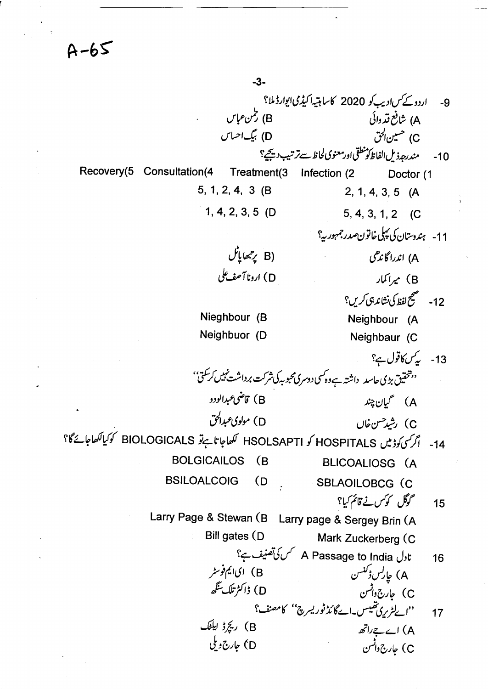-3- 9- اردو کے *کس ادیب کو* 2020 کا ساہتیہ اکیڈمی ایوارڈ ملا؟<br>A) شافع قدوائی A) شافع قد دائی vl?l~ (0 *eJ,?* (C \'~J~;c-j;~O?),'~hlpJ/J.t~)P -10 Recovery(5 Consultation(4 Treatment(3 Infection (2 5, 1, 2, 4, 3 (B 1, 4, 2, 3, 5 (0 ل مي<sup>تي</sup>ها پاڻل) D) ارونا آصف ک<sup>ل</sup>ی Nieghbour (B **Doctor** (1 2,1,4,3,5 (A 5,4,3,1,2 (C 11- ہندوستان کی پہلی خاتون *صدر جم*ہور ہی<sup>؟</sup> 0';:(1)';:1 (A Ar~ (B \'v..)t.5'.t~SJ;;Jt -12 Neighbour (A Neighbuor (D Neighbaur (C 13- ي*رکن کا*قول ہے؟ <sup>د,</sup> تحقیق بڑی حاسد داشتہ ہے وہ کسی دوسری محبوبہ کی شرکت برداشت نہیں کر سکتی'' A) گيان چند (B ) تامنى عبدالودو *eJ,J?O}Y* (0 U~~~) (C 14- اگر سی کوڈ میں HOSPITALS کو HSOLSAPTI ککھاجا تاہےتو BIOLOGICALS کوکیالکھاجائےگا؟ BOLGICAILOS (B BLICOALIOSG (A BSILOALCOIG (D SBLAOILOBCG (C \''/(IiLv'I Jfl <sup>15</sup> Larry Page & Stewan (B Larry page & Sergey Brin (A Bill gates (0 Mark Zuckerberg (C \''f-~S''/ A Passage to India J,t <sup>16</sup> A) جارلس{کنسن<br>)) - جاربرہ دانسن<br>)) - جاربرہ دانسن C) جارج دِائس<br>C ) جارج دِائس *\'...;;..v(* "~fl)};c(,-,-~O;(}""..I" 17 ~I t¢O) (B dl);....,-I (A *J,(;;)1,p* eO ~,(;;)I,p (C .. . .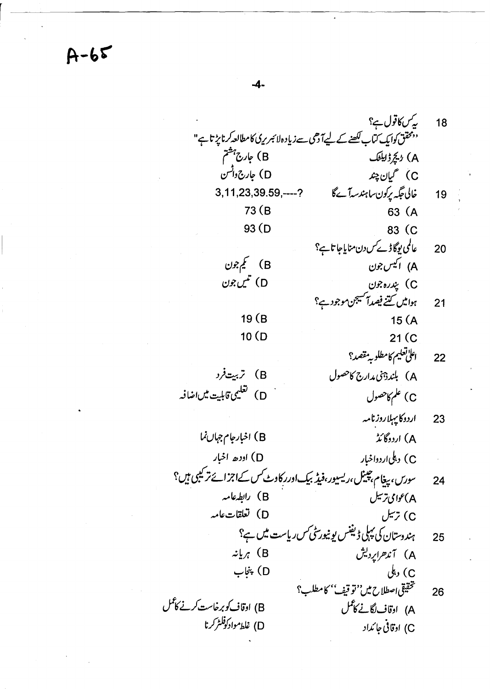18  
\n
$$
\sqrt{2}
$$
  $\sqrt{3}$   $\sqrt{4}$   
\n $\sqrt{2}$   $\sqrt{3}$   $\sqrt{4}$   
\n $\sqrt{2}$   $\sqrt{3}$   $\sqrt{4}$   
\n $\sqrt{2}$   $\sqrt{3}$   $\sqrt{4}$   
\n $\sqrt{2}$   $\sqrt{3}$   $\sqrt{2}$   
\n(A)  $\sqrt{2}$   $\sqrt{2}$   $\sqrt{1}$   
\n(A)  $\sqrt{2}$   $\sqrt{2}$   $\sqrt{1}$   
\n(A)  $\sqrt{2}$   $\sqrt{2}$   $\sqrt{1}$   
\n(A)  $\sqrt{2}$   $\sqrt{2}$   $\sqrt{2}$   
\n3 (B  
\n33 (C  
\n34 (D  
\n35 (D  
\n36 (A  
\n37 (D  
\n38 (C  
\n39 (D  
\n30 (D  
\n311,23,39.59—?  
\n3 (E  
\n30 (C  
\n311,23,39.59—?  
\n3 (D  
\n31 (C  
\n32 (C  
\n34 (C  
\n35 (A  
\n36 (C  
\n37 (D  
\n38 (C  
\n39 (D  
\n30 (D  
\n31 (C  
\n34 (C  
\n35 (A  
\n36 (D  
\n37 (D  
\n38 (C  
\n39 (D  
\n30 (C  
\n31 (C  
\n32 (C  
\n34 (C  
\n35 (A  
\n36 (D  
\n37 (D  
\n38 (C  
\n39 (D  
\n30 (D  
\n31 (D  
\n32 (C  
\n34 (D  
\n35 (A  
\n36 (D  
\n37 (D  
\n38 (D  
\n39 (D  
\n31 (E  
\n32 (C  
\n34 (D  
\n35 (A  
\n36 (D  
\n37 (D  
\n38 (D  
\n39 (D  
\n31 (E  
\n32 (C  
\n34 (D  
\n35 (A  
\n36 (D  
\n37 (D  
\n38 (D  
\n39 (D  
\n31 (E  
\n32 (E  
\n3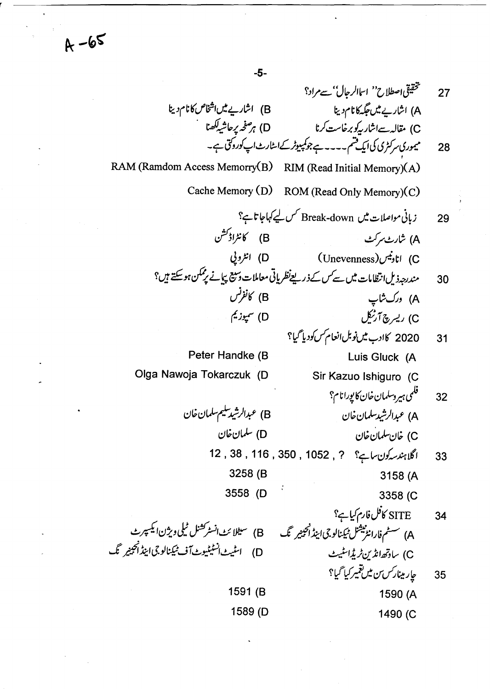-5-

~J!/~'U~)IH "v~IJ# *27*  A) اشاریے میں جگہکا نام دینا ہے = (B) اشاریے میں انتظام میں انتظام دینا C) مقالہ سےانٹار بیرکو برخاست کرنا ہے (D) ہر صفحہ پر حاشیاکھنا 28 میوری سرکٹری کی ایک قسم۔۔۔۔*ے جوکمپیوٹر کے اسٹارٹ اپ کوروک*ی ہے۔ RAM (Ramdom Access Memorry(B) RIM (Read Initial Memory)(A) Cache Memory (D) ROM (Read Only Memory)(C) 29 زبانی مواصلات میں Break-down کس لیے کہاجاتا ہے؟ ~!f( (8 ~~.Jt; (A لانادنيس (Unevenness) انادنيس (Unevenness) انتظرو في ح<br>30 مندرجہ ذیل انتظامات میں سے سس کے ذریعےنظریاتی معاملات دسکھیج پیانے پر ممکن ہوسکتے ہیں؟ A) درک شاپ<br>A) درک شاپ C) ریبرچ آرٹکل (D) سپوزیم 31 \_ 2020 كان<sub>ج</sub> ميں نوبل انعام *كس ك*وديا <sup>ج</sup>يا؟ Peter Handke (8 Luis Gluck (A Olga Nawoja Tokarczuk (0 Sir Kazuo Ishiguro (C 32 فكمي ہيروسلمان خان كايورانام؟ B) عبدالرشيد سليم-سلمان خان d~dlJ.-~)I.J? (A d~dlJ.- (0 d~dlJ.-d~ (C 33 اگل*ا ہندس*کون ساہے؟ ? 1052 , 116 , 38 , 116 , 33 3258(8 3158 (A 3558 (0 3358(C SITE كافل فارم كيا ہے؟ 34 ...{ ~~IJ.}t:.f!~j;I.J~( (A D) اسٹیٹ انسٹیٹیوٹ آف ٹیکنالوجی اینڈ اُنجینیر گگ C) ساوتھ انڈین ٹریڈاسٹیٹ جار مینار*س ن میں تقمیر کیا گی*ا؟ 35 1591 (8 1590 (A 1589 (0 1490(C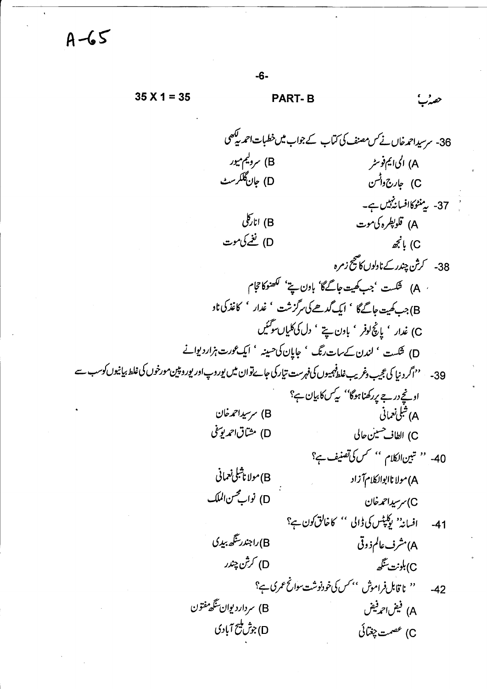$-6 35 X 1 = 35$ **PART-B** حقيدك 36- سرسیداحمدخاں نے *کس مصنف کی کتا*ب کے جواب میں خطیات احمد کی<sup>کھی</sup> B) سرولیم میور A) الیا <del>ی</del>م فوسٹر D) جان گلگرسٹ C) جارج6وانسن 37- پېنٹوکاافساننېيں ہے۔ انارکلی) (B A) قلو*پطر*ه کی موت D) نغے کی موت  $\vec{\mathscr{Z}}$ ! (C ٰ A) شَکَست 'جب کھیت جاگےگا' باون پنے' لکھنوکا حجام B)جب کھیت جاگےگا ' ایک گدھے کی سرگزشت ' غدار ' کاغذ کی ناد C) غدار ' یانچ لوفر ' باون سیتے ' دل کی کلیاں سو گئیں D) شکست ' لندن کے سات رنگ ' جایان کی حسینہ ' ایک عورت ہزار دیوانے 39- ''اگر دنیا کی عجیب دغریب غلط<sup>ف</sup>ہمیوں کی فہرست تیارکی جائےتوان میں پوروپ اور پوروپین مورخوں کی غلط بیانیوں کوسب سے اونجے درجے پر کھناہوگا'' یہ کس کابیان ہ؟ B) سرسیداحمدخان A) شلی نعمانی D) مشاق احمد يوسفي C) الطاف<sup>حسين حا</sup>لى 40- '' تين الكلام '' سس كى تصنيف ہے؟ (B) مولاناثىلى *نعم*انى A) مولا ناابوالکلام آزاد D) نواب محسن الملک C) سرسیداحمدخان افسانہ' پوکیٹس کی ڈالی '' کاخالق کون ہے؟  $-41$ B)راجندرسگھ بیڊي A) مشرف عالم ذوقي D) كرش چندر C)بلونت يتگھ '' نا قابل فراموش '' سس کی خودنوشت سوانح عمر ک ہے؟  $-42$ B) سردارد یوان تنگه مفتون A) فيض1حد فيض D)جۇڭ ئىچ آبادى C) عصمت چغتائی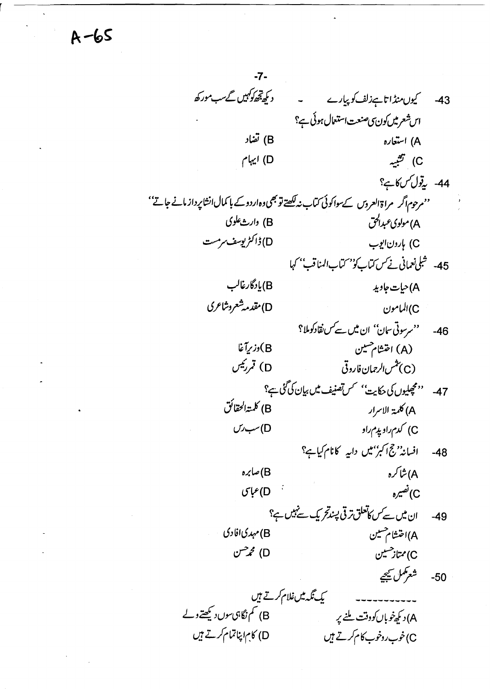$-7-$ د کم تھ کوئیں گےسب مورکھ 43- كيون منڈاتا ہے زلف كوپيارے اس شعر میں کون ی صنعت استعمال ہوئی ہے؟ (B) تفاد A) استعاره C) تَشْبِيهِ D) ایہام 44- يۆل كىس كايم؟ ''مرحوم اگر مراۃالعروس کےسواکوئی کتاب نہ لکھتے تو بھی دہ اردو کے با کمال انشاپر داز مانے جاتے'' A) مولوی *عبدالحق* B) دارث علوی D) ژاکڑیوسف سرمست C) بارون ایوب 45- شِلى نعمانى نے س كتاب كو مستاب المناقب بھى (B)يادگارغالب A) حيات جاويد D)مقدمەشعروشاعرى C)المامون 46- 'مرسوتی سان'' ان میں سے سنقادکوملا؟ (A) اختشام مسین (B)دزبرآغا D) قمررئیس (C) ت<sup>ش</sup>س *الرح*مان فاروقی 47- ''مچھلیوں کی حکایت'' کس تصنیف میں بیان کی گئی ہے؟ B) كلمة الحقائق A) كلمة الإسرار C) کدم راد پدم راد  $U \rightarrow$ (D افسانہ''ج اکبر''میں داریہ کانام کیاہے؟  $-48$ A) شاکره B)صابرہ  $\frac{1}{2}$  $\mathcal{L}^{\hat{\omega}}(C)$ D)عباس ان میں سے *کس کاتعلق تر*قی پسندتحریک سے ہیں ہے؟  $-49$ A)اختشام حسين B) مہدی افادی D) محم<sup>ص</sup>ن C) ممتاز حسین شعرتمل سيحيح  $-50$ یک نگه میں غلام کرتے ہیں B) کم نگاہی سوں دیکھتے ولے A) دیکھ خوباں کووقت ملنے پر D) کام اپناتمام *کرتے ہیں* C)خوب روخوب کام کرتے ہیں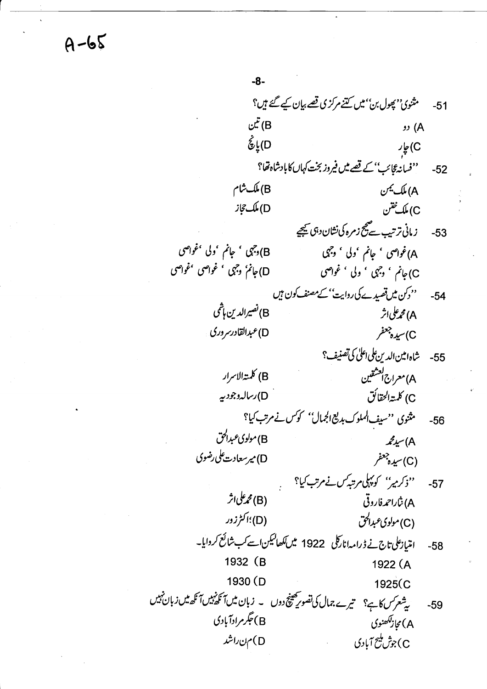$-8-$ مثنوی''پھول بن'' میں کتنے مرکز کی قصے بیان کیے گئے ہیں؟  $-51$ تين (B (A رو ل ينج<br>C) يا پچ C) چار ''فسانہ گائب'' کے قصے میں فیروز بخت کہاں کابادشاہ تھا؟  $-52$ (B) ملک شام A) ملک <sup>یمن</sup> D) ملک جاز C) ملك نختن زمانى ترتيب سے مج زمرہ کی نشان دہی کیجیے -53 B)وجي ' جانم 'ولي 'غواصي A)غواصي ' جانم 'ولي ' وجهي D)جانمُ' وجہی ' غواصی 'غواصی C)جانم ' وجہی ' ولی ' غواصی ''دکن میں تصیدے کی روایت'' کے مصنف کون ہیں -54 B)نصيرالدين ہاشمي A) محم<sup>م</sup> ملی اثر D)عبدالقادرسر وري C) سيده جعفر 55- شاہ امین الدین علی اعلیٰ کی تصنیف؟ B) كلمتەالاسرار A)معراج<sup>[لعش</sup>قين D)رسالہ دجود ہیے C) كلمة الحقائق مثنوی ''سیف الملوک بدیع الجمال'' کوکس نے مرتب کیا؟  $-56$ B) مولوی عبدالحق  $\mathcal{Z}_{\mathcal{L}}(A)$ D) میرسعادت علی رضوی (C) سيده جعفر ''ذکر میر'' کو پہلی مرتبہ کس نے مرتب کیا؟  $-57$ (B) محم<sup>على ا</sup>ثر A) ښ*ار*احمه فاروقې (D)؛اکٹرزور (C)مولوی عبدالحق امتیازعلی تاج نے ڈرامہ انارکلی 1922 میں لکھالیکن اسے کب شائع کروایا۔  $-58$ 1932 (B 1922 (A 1930 (D 1925(C یشعرکس کاہے؟ میرے جمال کی تصویر مھینچ دوں ۔ زبان میں آنکھنیں آنکھ میں زبان نہیں  $-59$ B)جگرمرادآبادی A) مجاز<sup>لکھن</sup>وی D)من راشد C)جوش مليح آبادي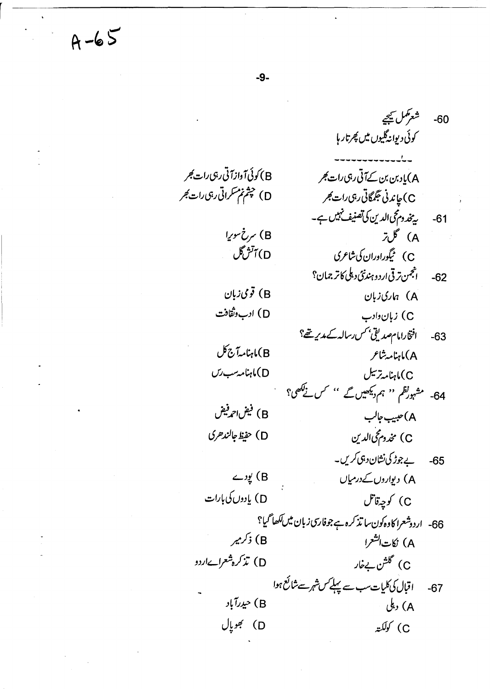$A - 65$ 

 $-9-$ 

60- شعر*مکن* کیجے کوئی دیوانهگلیوں میں پھرتار ہا .<br>A)یا دبن بن کے آتی رہی رات کجر B) كوئي آوازآ تي ربي رات *گجر* D) چشم نم سکراتی رہی رات کجر C) چاندنی جگمگاتی رہی رات ک<sup>ھ</sup>ر 61- يۇندوم مى الدىن كى تصنيف نېيىں ہے۔ B) سرخ سوريا A) گلتر D) آٽڻڱل C) ئىگوراوران كى شاعرى 62- انجمن ترقي اردو ہندنئ دہلی کاتر جمان؟ B) قومی زبان A) مارى زبان D) ادب وثقافت C) زبان دادب افتخارامامصديقى بحس رساله كے مدير تھ؟  $-63$ (B)ماہنامہآج کل A)ماہنامہ شاعر D)ماہنامہ *سب رس* C)ماہنامہ ترسل 64- مشہورتظم '' ہم دیکھیں گے '' کس نے کھی؟ B) فيفن احمد فيفن A)حبيب جالب D) حفيظ جالند حرى C) مخدوم محی الدین 65- پے جوڑ کی نشان دہی کریں۔ (B) یودے A) دیواروں کےدرمیاں D) يادوں کی بارات C) كوچەقاتل 66- اردوشعرا کاوہ کون سا تذکرہ ہے جوفاری زبان میں لکھا گیا؟ (B) ذکرمیر A) نكات<sup>الشعر</sup>ا D) تذکره شعراےاردو C) گلشن بےخار 67- اقبال کی کلیات سب سے پہلے س شہر سے شائع ہوا B) حیدرآباد A) دىكى D) بھوپال C) كولكته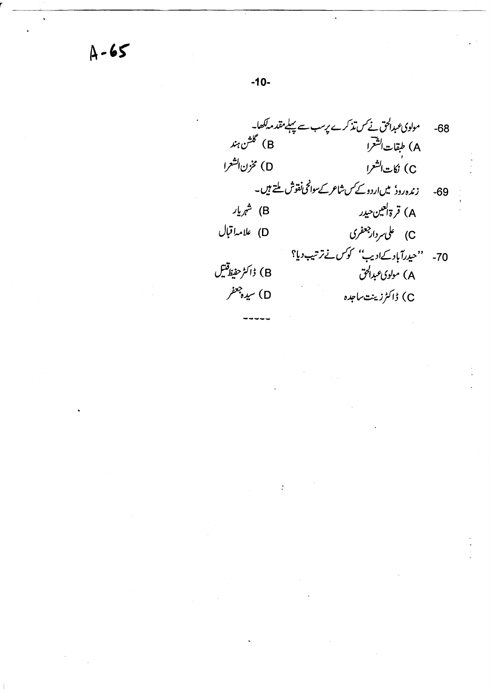مولوی عبدالحق نے کس تذکرے پرسب سے پہلے مقدمہ کھا۔  $-68$ B) گ<sup>ھ</sup>شن ہند A) طبقات الشعرا D) مخزن الشعرا ،<br>C) نكات الشعرا زندہ روڈ میںاردو کے سشاعر کے سواٹحی نفوش ملتے ہیں۔  $-69$ B) شهریار A) قرةالعين حيدر D) علامہ اقبال C) على مردار جعفرى 70- 'حیدرآباد کےادیب'' کوکس نے ترتیب دیا؟ B) ڈاکٹر حفیظ<sup>قتیں</sup> A) مولوی عبدالحق C) ڈاکٹرزینٹ ساجدہ D) سيده جعفر